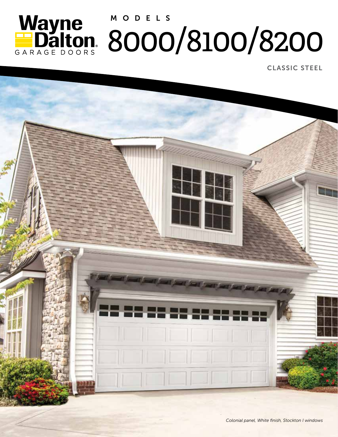

CLASSIC STEEL

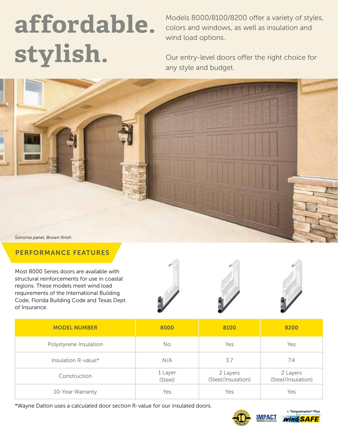# **affordable. stylish.**

Models 8000/8100/8200 offer a variety of styles, colors and windows, as well as insulation and wind load options.

Our entry-level doors offer the right choice for any style and budget.



#### PERFORMANCE FEATURES

Most 8000 Series doors are available with structural reinforcements for use in coastal regions. These models meet wind load requirements of the International Building Code, Florida Building Code and Texas Dept. of Insurance.







| <b>MODEL NUMBER</b>    | 8000               | 8100                           | 8200                           |
|------------------------|--------------------|--------------------------------|--------------------------------|
| Polystyrene Insulation | No                 | Yes                            | Yes                            |
| Insulation R-value*    | N/A                | 3.7                            | 7.4                            |
| Construction           | 1 Layer<br>(Steel) | 2 Layers<br>(Steel/Insulation) | 2 Layers<br>(Steel/Insulation) |
| 10-Year Warranty       | Yes                | Yes                            | Yes                            |

\*Wayne Dalton uses a calculated door section R-value for our insulated doors.



GARAGE DOORS

**MPACT** 

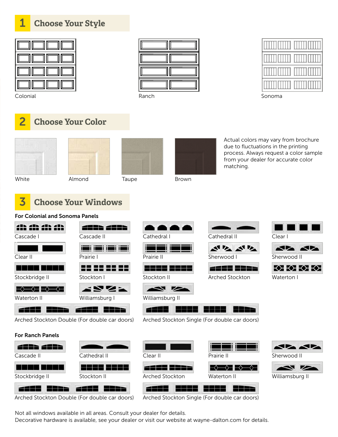### **Choose Your Style**



Colonial Ranch Sonoma





### 2 **Choose Your Color**







Actual colors may vary from brochure due to fluctuations in the printing process. Always request a color sample from your dealer for accurate color matching.

## White **Almond** Taupe Brown



### 3 **Choose Your Windows**

#### For Colonial and Sonoma Panels















Arched Stockton



**AL AL** Sherwood II



Waterton I

4662 5522 5522 2221



Arched Stockton Double (For double car doors)

#### For Ranch Panels



Not all windows available in all areas. Consult your dealer for details.

Decorative hardware is available, see your dealer or visit our website at wayne-dalton.com for details.